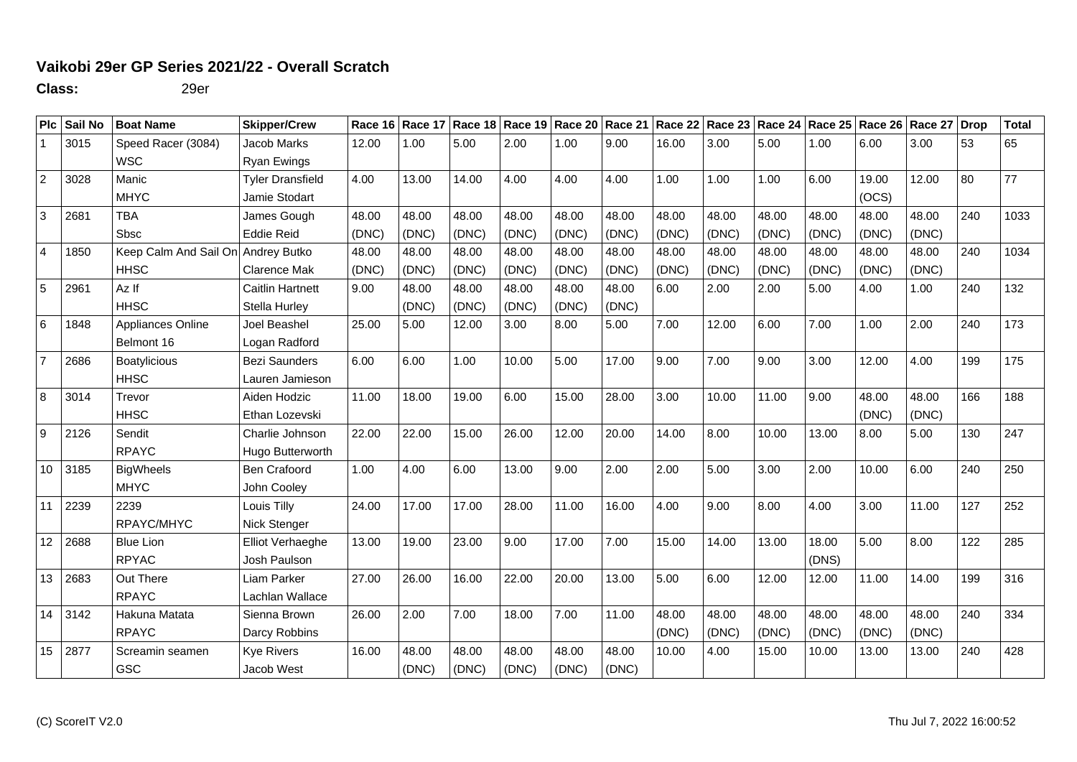## **Vaikobi 29er GP Series 2021/22 - Overall Scratch**

**Class:** 29er

|                | PIc Sail No    | <b>Boat Name</b>                   | <b>Skipper/Crew</b>     |       |       |       |       |       |       | Race 16 Race 17 Race 18 Race 19 Race 20 Race 21 Race 22 Race 23 Race 24 Race 25 Race 26 Race 27 Drop |       |       |       |       |       |     | <b>Total</b> |
|----------------|----------------|------------------------------------|-------------------------|-------|-------|-------|-------|-------|-------|------------------------------------------------------------------------------------------------------|-------|-------|-------|-------|-------|-----|--------------|
| -1             | 3015           | Speed Racer (3084)                 | Jacob Marks             | 12.00 | 1.00  | 5.00  | 2.00  | 1.00  | 9.00  | 16.00                                                                                                | 3.00  | 5.00  | 1.00  | 6.00  | 3.00  | 53  | 65           |
|                |                | <b>WSC</b>                         | Ryan Ewings             |       |       |       |       |       |       |                                                                                                      |       |       |       |       |       |     |              |
| $\overline{2}$ | 3028           | Manic                              | <b>Tyler Dransfield</b> | 4.00  | 13.00 | 14.00 | 4.00  | 4.00  | 4.00  | 1.00                                                                                                 | 1.00  | 1.00  | 6.00  | 19.00 | 12.00 | 80  | 77           |
|                |                | <b>MHYC</b>                        | Jamie Stodart           |       |       |       |       |       |       |                                                                                                      |       |       |       | (OCS) |       |     |              |
| $\overline{3}$ | 2681           | <b>TBA</b>                         | James Gough             | 48.00 | 48.00 | 48.00 | 48.00 | 48.00 | 48.00 | 48.00                                                                                                | 48.00 | 48.00 | 48.00 | 48.00 | 48.00 | 240 | 1033         |
|                |                | <b>Sbsc</b>                        | <b>Eddie Reid</b>       | (DNC) | (DNC) | (DNC) | (DNC) | (DNC) | (DNC) | (DNC)                                                                                                | (DNC) | (DNC) | (DNC) | (DNC) | (DNC) |     |              |
| $\vert$ 4      | 1850           | Keep Calm And Sail On Andrey Butko |                         | 48.00 | 48.00 | 48.00 | 48.00 | 48.00 | 48.00 | 48.00                                                                                                | 48.00 | 48.00 | 48.00 | 48.00 | 48.00 | 240 | 1034         |
|                |                | <b>HHSC</b>                        | <b>Clarence Mak</b>     | (DNC) | (DNC) | (DNC) | (DNC) | (DNC) | (DNC) | (DNC)                                                                                                | (DNC) | (DNC) | (DNC) | (DNC) | (DNC) |     |              |
| 5              | 2961           | Az If                              | <b>Caitlin Hartnett</b> | 9.00  | 48.00 | 48.00 | 48.00 | 48.00 | 48.00 | 6.00                                                                                                 | 2.00  | 2.00  | 5.00  | 4.00  | 1.00  | 240 | 132          |
|                |                | <b>HHSC</b>                        | Stella Hurley           |       | (DNC) | (DNC) | (DNC) | (DNC) | (DNC) |                                                                                                      |       |       |       |       |       |     |              |
| 6              | 1848           | Appliances Online                  | Joel Beashel            | 25.00 | 5.00  | 12.00 | 3.00  | 8.00  | 5.00  | 7.00                                                                                                 | 12.00 | 6.00  | 7.00  | 1.00  | 2.00  | 240 | 173          |
|                |                | Belmont 16                         | Logan Radford           |       |       |       |       |       |       |                                                                                                      |       |       |       |       |       |     |              |
| $\overline{7}$ | 2686           | <b>Boatylicious</b>                | <b>Bezi Saunders</b>    | 6.00  | 6.00  | 1.00  | 10.00 | 5.00  | 17.00 | 9.00                                                                                                 | 7.00  | 9.00  | 3.00  | 12.00 | 4.00  | 199 | 175          |
|                |                | <b>HHSC</b>                        | Lauren Jamieson         |       |       |       |       |       |       |                                                                                                      |       |       |       |       |       |     |              |
| 8              | 3014           | Trevor                             | Aiden Hodzic            | 11.00 | 18.00 | 19.00 | 6.00  | 15.00 | 28.00 | 3.00                                                                                                 | 10.00 | 11.00 | 9.00  | 48.00 | 48.00 | 166 | 188          |
|                |                | <b>HHSC</b>                        | Ethan Lozevski          |       |       |       |       |       |       |                                                                                                      |       |       |       | (DNC) | (DNC) |     |              |
| <b>g</b>       | 2126           | Sendit                             | Charlie Johnson         | 22.00 | 22.00 | 15.00 | 26.00 | 12.00 | 20.00 | 14.00                                                                                                | 8.00  | 10.00 | 13.00 | 8.00  | 5.00  | 130 | 247          |
|                |                | <b>RPAYC</b>                       | Hugo Butterworth        |       |       |       |       |       |       |                                                                                                      |       |       |       |       |       |     |              |
|                | 10 3185        | <b>BigWheels</b>                   | Ben Crafoord            | 1.00  | 4.00  | 6.00  | 13.00 | 9.00  | 2.00  | 2.00                                                                                                 | 5.00  | 3.00  | 2.00  | 10.00 | 6.00  | 240 | 250          |
|                |                | <b>MHYC</b>                        | John Cooley             |       |       |       |       |       |       |                                                                                                      |       |       |       |       |       |     |              |
|                | 11 2239        | 2239                               | Louis Tilly             | 24.00 | 17.00 | 17.00 | 28.00 | 11.00 | 16.00 | 4.00                                                                                                 | 9.00  | 8.00  | 4.00  | 3.00  | 11.00 | 127 | 252          |
|                |                | RPAYC/MHYC                         | Nick Stenger            |       |       |       |       |       |       |                                                                                                      |       |       |       |       |       |     |              |
|                | 12 2688        | <b>Blue Lion</b>                   | Elliot Verhaeghe        | 13.00 | 19.00 | 23.00 | 9.00  | 17.00 | 7.00  | 15.00                                                                                                | 14.00 | 13.00 | 18.00 | 5.00  | 8.00  | 122 | 285          |
|                |                | <b>RPYAC</b>                       | Josh Paulson            |       |       |       |       |       |       |                                                                                                      |       |       | (DNS) |       |       |     |              |
|                | 13 2683        | Out There                          | Liam Parker             | 27.00 | 26.00 | 16.00 | 22.00 | 20.00 | 13.00 | 5.00                                                                                                 | 6.00  | 12.00 | 12.00 | 11.00 | 14.00 | 199 | 316          |
|                |                | <b>RPAYC</b>                       | Lachlan Wallace         |       |       |       |       |       |       |                                                                                                      |       |       |       |       |       |     |              |
|                | $14 \mid 3142$ | Hakuna Matata                      | Sienna Brown            | 26.00 | 2.00  | 7.00  | 18.00 | 7.00  | 11.00 | 48.00                                                                                                | 48.00 | 48.00 | 48.00 | 48.00 | 48.00 | 240 | 334          |
|                |                | <b>RPAYC</b>                       | Darcy Robbins           |       |       |       |       |       |       | (DNC)                                                                                                | (DNC) | (DNC) | (DNC) | (DNC) | (DNC) |     |              |
|                | 15 2877        | Screamin seamen                    | <b>Kye Rivers</b>       | 16.00 | 48.00 | 48.00 | 48.00 | 48.00 | 48.00 | 10.00                                                                                                | 4.00  | 15.00 | 10.00 | 13.00 | 13.00 | 240 | 428          |
|                |                | GSC                                | Jacob West              |       | (DNC) | (DNC) | (DNC) | (DNC) | (DNC) |                                                                                                      |       |       |       |       |       |     |              |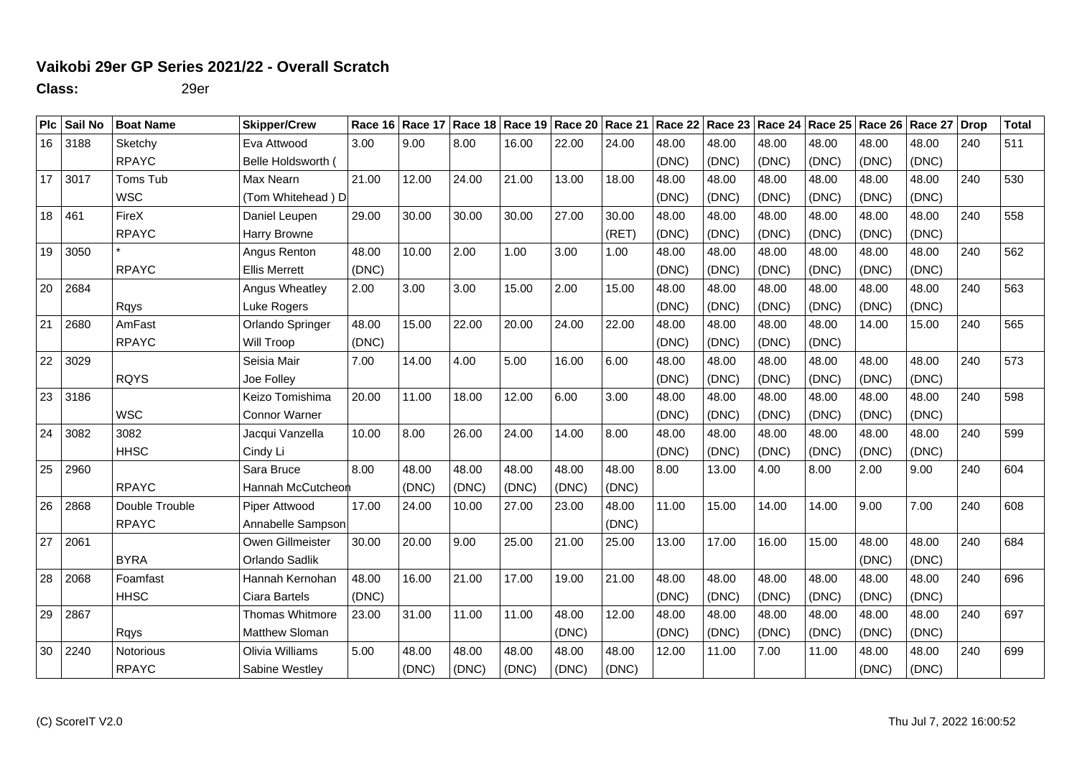## **Vaikobi 29er GP Series 2021/22 - Overall Scratch**

**Class:** 29er

|    | Plc Sail No  | <b>Boat Name</b> | <b>Skipper/Crew</b>  |       |       | Race 16   Race 17   Race 18   Race 19   Race 20   Race 21   Race 22   Race 23   Race 24   Race 25   Race 26   Race 27 |       |       |       |       |       |       |       |       |       | <b>Drop</b> | <b>Total</b> |
|----|--------------|------------------|----------------------|-------|-------|-----------------------------------------------------------------------------------------------------------------------|-------|-------|-------|-------|-------|-------|-------|-------|-------|-------------|--------------|
| 16 | 3188         | Sketchy          | Eva Attwood          | 3.00  | 9.00  | 8.00                                                                                                                  | 16.00 | 22.00 | 24.00 | 48.00 | 48.00 | 48.00 | 48.00 | 48.00 | 48.00 | 240         | 511          |
|    |              | <b>RPAYC</b>     | Belle Holdsworth (   |       |       |                                                                                                                       |       |       |       | (DNC) | (DNC) | (DNC) | (DNC) | (DNC) | (DNC) |             |              |
| 17 | $\vert 3017$ | Toms Tub         | Max Nearn            | 21.00 | 12.00 | 24.00                                                                                                                 | 21.00 | 13.00 | 18.00 | 48.00 | 48.00 | 48.00 | 48.00 | 48.00 | 48.00 | 240         | 530          |
|    |              | <b>WSC</b>       | (Tom Whitehead) D    |       |       |                                                                                                                       |       |       |       | (DNC) | (DNC) | (DNC) | (DNC) | (DNC) | (DNC) |             |              |
| 18 | 461          | FireX            | Daniel Leupen        | 29.00 | 30.00 | 30.00                                                                                                                 | 30.00 | 27.00 | 30.00 | 48.00 | 48.00 | 48.00 | 48.00 | 48.00 | 48.00 | 240         | 558          |
|    |              | <b>RPAYC</b>     | Harry Browne         |       |       |                                                                                                                       |       |       | (RET) | (DNC) | (DNC) | (DNC) | (DNC) | (DNC) | (DNC) |             |              |
| 19 | 3050         |                  | Angus Renton         | 48.00 | 10.00 | 2.00                                                                                                                  | 1.00  | 3.00  | 1.00  | 48.00 | 48.00 | 48.00 | 48.00 | 48.00 | 48.00 | 240         | 562          |
|    |              | <b>RPAYC</b>     | <b>Ellis Merrett</b> | (DNC) |       |                                                                                                                       |       |       |       | (DNC) | (DNC) | (DNC) | (DNC) | (DNC) | (DNC) |             |              |
| 20 | 2684         |                  | Angus Wheatley       | 2.00  | 3.00  | 3.00                                                                                                                  | 15.00 | 2.00  | 15.00 | 48.00 | 48.00 | 48.00 | 48.00 | 48.00 | 48.00 | 240         | 563          |
|    |              | Rqys             | Luke Rogers          |       |       |                                                                                                                       |       |       |       | (DNC) | (DNC) | (DNC) | (DNC) | (DNC) | (DNC) |             |              |
| 21 | 2680         | AmFast           | Orlando Springer     | 48.00 | 15.00 | 22.00                                                                                                                 | 20.00 | 24.00 | 22.00 | 48.00 | 48.00 | 48.00 | 48.00 | 14.00 | 15.00 | 240         | 565          |
|    |              | <b>RPAYC</b>     | Will Troop           | (DNC) |       |                                                                                                                       |       |       |       | (DNC) | (DNC) | (DNC) | (DNC) |       |       |             |              |
| 22 | 3029         |                  | Seisia Mair          | 7.00  | 14.00 | 4.00                                                                                                                  | 5.00  | 16.00 | 6.00  | 48.00 | 48.00 | 48.00 | 48.00 | 48.00 | 48.00 | 240         | 573          |
|    |              | <b>RQYS</b>      | Joe Folley           |       |       |                                                                                                                       |       |       |       | (DNC) | (DNC) | (DNC) | (DNC) | (DNC) | (DNC) |             |              |
| 23 | 3186         |                  | Keizo Tomishima      | 20.00 | 11.00 | 18.00                                                                                                                 | 12.00 | 6.00  | 3.00  | 48.00 | 48.00 | 48.00 | 48.00 | 48.00 | 48.00 | 240         | 598          |
|    |              | <b>WSC</b>       | Connor Warner        |       |       |                                                                                                                       |       |       |       | (DNC) | (DNC) | (DNC) | (DNC) | (DNC) | (DNC) |             |              |
| 24 | 3082         | 3082             | Jacqui Vanzella      | 10.00 | 8.00  | 26.00                                                                                                                 | 24.00 | 14.00 | 8.00  | 48.00 | 48.00 | 48.00 | 48.00 | 48.00 | 48.00 | 240         | 599          |
|    |              | <b>HHSC</b>      | Cindy Li             |       |       |                                                                                                                       |       |       |       | (DNC) | (DNC) | (DNC) | (DNC) | (DNC) | (DNC) |             |              |
| 25 | 2960         |                  | Sara Bruce           | 8.00  | 48.00 | 48.00                                                                                                                 | 48.00 | 48.00 | 48.00 | 8.00  | 13.00 | 4.00  | 8.00  | 2.00  | 9.00  | 240         | 604          |
|    |              | <b>RPAYC</b>     | Hannah McCutcheon    |       | (DNC) | (DNC)                                                                                                                 | (DNC) | (DNC) | (DNC) |       |       |       |       |       |       |             |              |
| 26 | 2868         | Double Trouble   | Piper Attwood        | 17.00 | 24.00 | 10.00                                                                                                                 | 27.00 | 23.00 | 48.00 | 11.00 | 15.00 | 14.00 | 14.00 | 9.00  | 7.00  | 240         | 608          |
|    |              | <b>RPAYC</b>     | Annabelle Sampson    |       |       |                                                                                                                       |       |       | (DNC) |       |       |       |       |       |       |             |              |
| 27 | 2061         |                  | Owen Gillmeister     | 30.00 | 20.00 | 9.00                                                                                                                  | 25.00 | 21.00 | 25.00 | 13.00 | 17.00 | 16.00 | 15.00 | 48.00 | 48.00 | 240         | 684          |
|    |              | <b>BYRA</b>      | Orlando Sadlik       |       |       |                                                                                                                       |       |       |       |       |       |       |       | (DNC) | (DNC) |             |              |
| 28 | 2068         | Foamfast         | Hannah Kernohan      | 48.00 | 16.00 | 21.00                                                                                                                 | 17.00 | 19.00 | 21.00 | 48.00 | 48.00 | 48.00 | 48.00 | 48.00 | 48.00 | 240         | 696          |
|    |              | <b>HHSC</b>      | Ciara Bartels        | (DNC) |       |                                                                                                                       |       |       |       | (DNC) | (DNC) | (DNC) | (DNC) | (DNC) | (DNC) |             |              |
| 29 | 2867         |                  | Thomas Whitmore      | 23.00 | 31.00 | 11.00                                                                                                                 | 11.00 | 48.00 | 12.00 | 48.00 | 48.00 | 48.00 | 48.00 | 48.00 | 48.00 | 240         | 697          |
|    |              | Rqys             | Matthew Sloman       |       |       |                                                                                                                       |       | (DNC) |       | (DNC) | (DNC) | (DNC) | (DNC) | (DNC) | (DNC) |             |              |
| 30 | 2240         | Notorious        | Olivia Williams      | 5.00  | 48.00 | 48.00                                                                                                                 | 48.00 | 48.00 | 48.00 | 12.00 | 11.00 | 7.00  | 11.00 | 48.00 | 48.00 | 240         | 699          |
|    |              | <b>RPAYC</b>     | Sabine Westley       |       | (DNC) | (DNC)                                                                                                                 | (DNC) | (DNC) | (DNC) |       |       |       |       | (DNC) | (DNC) |             |              |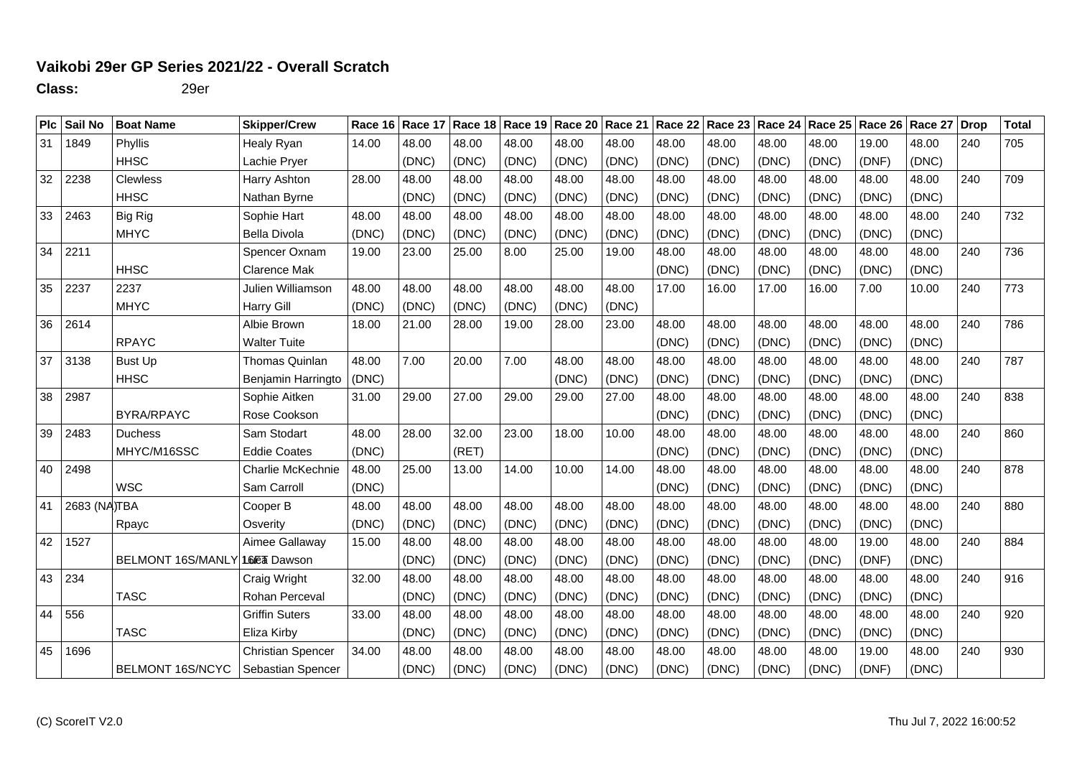## **Vaikobi 29er GP Series 2021/22 - Overall Scratch**

**Class:** 29er

| Plc | Sail No      | <b>Boat Name</b>         | <b>Skipper/Crew</b>      | Race 16 Race 17 |       | Race 18 | Race 19 | Race 20 | Race 21 | Race 22 | Race 23 | Race 24   Race 25   Race 26 |       |       | Race 27 | <b>Drop</b> | <b>Total</b> |
|-----|--------------|--------------------------|--------------------------|-----------------|-------|---------|---------|---------|---------|---------|---------|-----------------------------|-------|-------|---------|-------------|--------------|
| 31  | 1849         | Phyllis                  | Healy Ryan               | 14.00           | 48.00 | 48.00   | 48.00   | 48.00   | 48.00   | 48.00   | 48.00   | 48.00                       | 48.00 | 19.00 | 48.00   | 240         | 705          |
|     |              | <b>HHSC</b>              | Lachie Pryer             |                 | (DNC) | (DNC)   | (DNC)   | (DNC)   | (DNC)   | (DNC)   | (DNC)   | (DNC)                       | (DNC) | (DNF) | (DNC)   |             |              |
| 32  | 2238         | <b>Clewless</b>          | Harry Ashton             | 28.00           | 48.00 | 48.00   | 48.00   | 48.00   | 48.00   | 48.00   | 48.00   | 48.00                       | 48.00 | 48.00 | 48.00   | 240         | 709          |
|     |              | <b>HHSC</b>              | Nathan Byrne             |                 | (DNC) | (DNC)   | (DNC)   | (DNC)   | (DNC)   | (DNC)   | (DNC)   | (DNC)                       | (DNC) | (DNC) | (DNC)   |             |              |
| 33  | 2463         | <b>Big Rig</b>           | Sophie Hart              | 48.00           | 48.00 | 48.00   | 48.00   | 48.00   | 48.00   | 48.00   | 48.00   | 48.00                       | 48.00 | 48.00 | 48.00   | 240         | 732          |
|     |              | <b>MHYC</b>              | <b>Bella Divola</b>      | (DNC)           | (DNC) | (DNC)   | (DNC)   | (DNC)   | (DNC)   | (DNC)   | (DNC)   | (DNC)                       | (DNC) | (DNC) | (DNC)   |             |              |
| 34  | 2211         |                          | Spencer Oxnam            | 19.00           | 23.00 | 25.00   | 8.00    | 25.00   | 19.00   | 48.00   | 48.00   | 48.00                       | 48.00 | 48.00 | 48.00   | 240         | 736          |
|     |              | <b>HHSC</b>              | <b>Clarence Mak</b>      |                 |       |         |         |         |         | (DNC)   | (DNC)   | (DNC)                       | (DNC) | (DNC) | (DNC)   |             |              |
| 35  | 2237         | 2237                     | <b>Julien Williamson</b> | 48.00           | 48.00 | 48.00   | 48.00   | 48.00   | 48.00   | 17.00   | 16.00   | 17.00                       | 16.00 | 7.00  | 10.00   | 240         | 773          |
|     |              | <b>MHYC</b>              | Harry Gill               | (DNC)           | (DNC) | (DNC)   | (DNC)   | (DNC)   | (DNC)   |         |         |                             |       |       |         |             |              |
| 36  | 2614         |                          | Albie Brown              | 18.00           | 21.00 | 28.00   | 19.00   | 28.00   | 23.00   | 48.00   | 48.00   | 48.00                       | 48.00 | 48.00 | 48.00   | 240         | 786          |
|     |              | <b>RPAYC</b>             | <b>Walter Tuite</b>      |                 |       |         |         |         |         | (DNC)   | (DNC)   | (DNC)                       | (DNC) | (DNC) | (DNC)   |             |              |
| 37  | 3138         | <b>Bust Up</b>           | <b>Thomas Quinlan</b>    | 48.00           | 7.00  | 20.00   | 7.00    | 48.00   | 48.00   | 48.00   | 48.00   | 48.00                       | 48.00 | 48.00 | 48.00   | 240         | 787          |
|     |              | <b>HHSC</b>              | Benjamin Harringto       | (DNC)           |       |         |         | (DNC)   | (DNC)   | (DNC)   | (DNC)   | (DNC)                       | (DNC) | (DNC) | (DNC)   |             |              |
| 38  | 2987         |                          | Sophie Aitken            | 31.00           | 29.00 | 27.00   | 29.00   | 29.00   | 27.00   | 48.00   | 48.00   | 48.00                       | 48.00 | 48.00 | 48.00   | 240         | 838          |
|     |              | <b>BYRA/RPAYC</b>        | Rose Cookson             |                 |       |         |         |         |         | (DNC)   | (DNC)   | (DNC)                       | (DNC) | (DNC) | (DNC)   |             |              |
| 39  | 2483         | <b>Duchess</b>           | Sam Stodart              | 48.00           | 28.00 | 32.00   | 23.00   | 18.00   | 10.00   | 48.00   | 48.00   | 48.00                       | 48.00 | 48.00 | 48.00   | 240         | 860          |
|     |              | MHYC/M16SSC              | <b>Eddie Coates</b>      | (DNC)           |       | (RET)   |         |         |         | (DNC)   | (DNC)   | (DNC)                       | (DNC) | (DNC) | (DNC)   |             |              |
| 40  | 2498         |                          | Charlie McKechnie        | 48.00           | 25.00 | 13.00   | 14.00   | 10.00   | 14.00   | 48.00   | 48.00   | 48.00                       | 48.00 | 48.00 | 48.00   | 240         | 878          |
|     |              | <b>WSC</b>               | Sam Carroll              | (DNC)           |       |         |         |         |         | (DNC)   | (DNC)   | (DNC)                       | (DNC) | (DNC) | (DNC)   |             |              |
| 41  | 2683 (NA)TBA |                          | Cooper B                 | 48.00           | 48.00 | 48.00   | 48.00   | 48.00   | 48.00   | 48.00   | 48.00   | 48.00                       | 48.00 | 48.00 | 48.00   | 240         | 880          |
|     |              | Rpayc                    | Osverity                 | (DNC)           | (DNC) | (DNC)   | (DNC)   | (DNC)   | (DNC)   | (DNC)   | (DNC)   | (DNC)                       | (DNC) | (DNC) | (DNC)   |             |              |
| 42  | 1527         |                          | Aimee Gallaway           | 15.00           | 48.00 | 48.00   | 48.00   | 48.00   | 48.00   | 48.00   | 48.00   | 48.00                       | 48.00 | 19.00 | 48.00   | 240         | 884          |
|     |              | <b>BELMONT 16S/MANLY</b> | 16 Fa Dawson             |                 | (DNC) | (DNC)   | (DNC)   | (DNC)   | (DNC)   | (DNC)   | (DNC)   | (DNC)                       | (DNC) | (DNF) | (DNC)   |             |              |
| 43  | 234          |                          | Craig Wright             | 32.00           | 48.00 | 48.00   | 48.00   | 48.00   | 48.00   | 48.00   | 48.00   | 48.00                       | 48.00 | 48.00 | 48.00   | 240         | 916          |
|     |              | <b>TASC</b>              | Rohan Perceval           |                 | (DNC) | (DNC)   | (DNC)   | (DNC)   | (DNC)   | (DNC)   | (DNC)   | (DNC)                       | (DNC) | (DNC) | (DNC)   |             |              |
| 44  | 556          |                          | <b>Griffin Suters</b>    | 33.00           | 48.00 | 48.00   | 48.00   | 48.00   | 48.00   | 48.00   | 48.00   | 48.00                       | 48.00 | 48.00 | 48.00   | 240         | 920          |
|     |              | <b>TASC</b>              | Eliza Kirby              |                 | (DNC) | (DNC)   | (DNC)   | (DNC)   | (DNC)   | (DNC)   | (DNC)   | (DNC)                       | (DNC) | (DNC) | (DNC)   |             |              |
| 45  | 1696         |                          | <b>Christian Spencer</b> | 34.00           | 48.00 | 48.00   | 48.00   | 48.00   | 48.00   | 48.00   | 48.00   | 48.00                       | 48.00 | 19.00 | 48.00   | 240         | 930          |
|     |              | <b>BELMONT 16S/NCYC</b>  | Sebastian Spencer        |                 | (DNC) | (DNC)   | (DNC)   | (DNC)   | (DNC)   | (DNC)   | (DNC)   | (DNC)                       | (DNC) | (DNF) | (DNC)   |             |              |